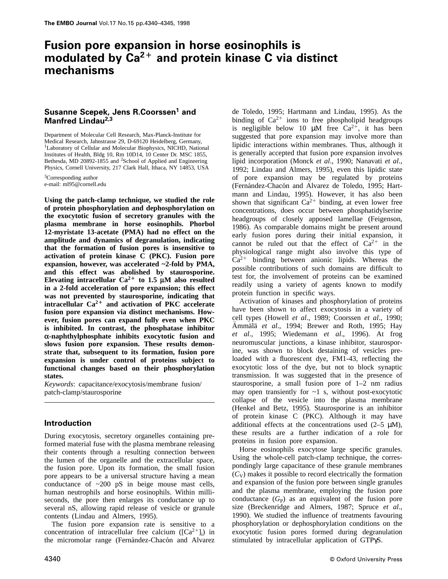# **Fusion pore expansion in horse eosinophils is modulated by Ca2**<sup>F</sup> **and protein kinase C via distinct mechanisms**

# **Susanne Scepek, Jens R.Coorssen1 and Manfred Lindau2,3**

Department of Molecular Cell Research, Max-Planck-Institute for Medical Research, Jahnstrasse 29, D-69120 Heidelberg, Germany, <sup>1</sup>Laboratory of Cellular and Molecular Biophysics, NICHD, National Institutes of Health, Bldg 10, Rm 10D14, 10 Center Dr. MSC 1855, Bethesda, MD 20892-1855 and <sup>2</sup>School of Applied and Engineering Physics, Cornell University, 217 Clark Hall, Ithaca, NY 14853, USA

<sup>3</sup>Corresponding author e-mail: ml95@cornell.edu

**Using the patch-clamp technique, we studied the role of protein phosphorylation and dephosphorylation on the exocytotic fusion of secretory granules with the plasma membrane in horse eosinophils. Phorbol 12-myristate 13-acetate (PMA) had no effect on the amplitude and dynamics of degranulation, indicating that the formation of fusion pores is insensitive to activation of protein kinase C (PKC). Fusion pore expansion, however, was accelerated ~2-fold by PMA, and this effect was abolished by staurosporine.** Elevating intracellular  $Ca^{2+}$  to 1.5  $\mu$ M also resulted **in a 2-fold acceleration of pore expansion; this effect was not prevented by staurosporine, indicating that intracellular**  $Ca^{2+}$  **and activation of PKC accelerate fusion pore expansion via distinct mechanisms. However, fusion pores can expand fully even when PKC is inhibited. In contrast, the phosphatase inhibitor α-naphthylphosphate inhibits exocytotic fusion and slows fusion pore expansion. These results demonstrate that, subsequent to its formation, fusion pore expansion is under control of proteins subject to functional changes based on their phosphorylation states.**

*Keywords*: capacitance/exocytosis/membrane fusion/ patch-clamp/staurosporine

# **Introduction**

During exocytosis, secretory organelles containing preformed material fuse with the plasma membrane releasing their contents through a resulting connection between the lumen of the organelle and the extracellular space, the fusion pore. Upon its formation, the small fusion pore appears to be a universal structure having a mean conductance of  $\sim 200$  pS in beige mouse mast cells, human neutrophils and horse eosinophils. Within milliseconds, the pore then enlarges its conductance up to several nS, allowing rapid release of vesicle or granule contents (Lindau and Almers, 1995).

The fusion pore expansion rate is sensitive to a concentration of intracellular free calcium  $([Ca^{2+}]_i)$  in the micromolar range (Fernández-Chacón and Alvarez

de Toledo, 1995; Hartmann and Lindau, 1995). As the binding of  $Ca^{2+}$  ions to free phospholipid headgroups is negligible below 10  $\mu$ M free Ca<sup>2+</sup>, it has been suggested that pore expansion may involve more than lipidic interactions within membranes. Thus, although it is generally accepted that fusion pore expansion involves lipid incorporation (Monck *et al*., 1990; Nanavati *et al*., 1992; Lindau and Almers, 1995), even this lipidic state of pore expansion may be regulated by proteins (Fernández-Chacón and Alvarez de Toledo, 1995; Hartmann and Lindau, 1995). However, it has also been shown that significant  $Ca^{2+}$  binding, at even lower free concentrations, does occur between phosphatidylserine headgroups of closely apposed lamellae (Feigenson, 1986). As comparable domains might be present around early fusion pores during their initial expansion, it cannot be ruled out that the effect of  $Ca^{2+}$  in the physiological range might also involve this type of  $Ca^{2+}$  binding between anionic lipids. Whereas the possible contributions of such domains are difficult to test for, the involvement of proteins can be examined readily using a variety of agents known to modify protein function in specific ways.

Activation of kinases and phosphorylation of proteins have been shown to affect exocytosis in a variety of cell types (Howell *et al*., 1989; Coorssen *et al*., 1990; Ammälä *et al.*, 1994; Brewer and Roth, 1995; Hay *et al*., 1995; Wiedemann *et al*., 1996). At frog neuromuscular junctions, a kinase inhibitor, staurosporine, was shown to block destaining of vesicles preloaded with a fluorescent dye, FM1-43, reflecting the exocytotic loss of the dye, but not to block synaptic transmission. It was suggested that in the presence of staurosporine, a small fusion pore of 1–2 nm radius may open transiently for  $\sim$ 1 s, without post-exocytotic collapse of the vesicle into the plasma membrane (Henkel and Betz, 1995). Staurosporine is an inhibitor of protein kinase C (PKC). Although it may have additional effects at the concentrations used  $(2-5 \mu M)$ , these results are a further indication of a role for proteins in fusion pore expansion.

Horse eosinophils exocytose large specific granules. Using the whole-cell patch-clamp technique, the correspondingly large capacitance of these granule membranes  $(C_V)$  makes it possible to record electrically the formation and expansion of the fusion pore between single granules and the plasma membrane, employing the fusion pore conductance  $(G_P)$  as an equivalent of the fusion pore size (Breckenridge and Almers, 1987; Spruce *et al*., 1990). We studied the influence of treatments favouring phosphorylation or dephosphorylation conditions on the exocytotic fusion pores formed during degranulation stimulated by intracellular application of GTPγS.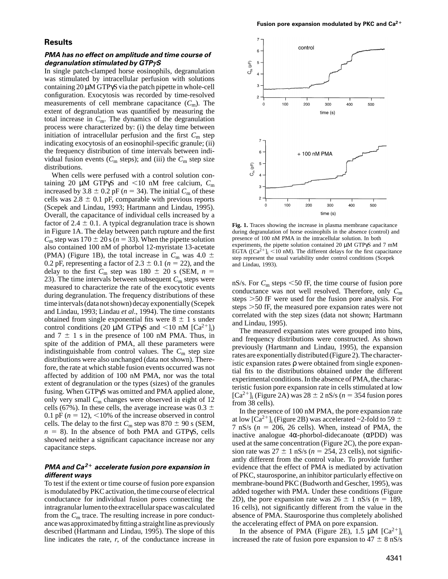## **Results**

#### **PMA has no effect on amplitude and time course of degranulation stimulated by GTPγS**

In single patch-clamped horse eosinophils, degranulation was stimulated by intracellular perfusion with solutions containing 20 µM GTPγS via the patch pipette in whole-cell configuration. Exocytosis was recorded by time-resolved measurements of cell membrane capacitance  $(C<sub>m</sub>)$ . The extent of degranulation was quantified by measuring the total increase in *C*m. The dynamics of the degranulation process were characterized by: (i) the delay time between initiation of intracellular perfusion and the first  $C<sub>m</sub>$  step indicating exocytosis of an eosinophil-specific granule; (ii) the frequency distribution of time intervals between individual fusion events ( $C_m$  steps); and (iii) the  $C_m$  step size distributions.

When cells were perfused with a control solution containing 20  $\mu$ M GTP $\gamma$ S and <10 nM free calcium,  $C_m$ increased by 3.8  $\pm$  0.2 pF ( $n = 34$ ). The initial  $C_m$  of these cells was  $2.8 \pm 0.1$  pF, comparable with previous reports (Scepek and Lindau, 1993; Hartmann and Lindau, 1995). Overall, the capacitance of individual cells increased by a factor of 2.4  $\pm$  0.1. A typical degranulation trace is shown in Figure 1A. The delay between patch rupture and the first  $C_m$  step was 170  $\pm$  20 s ( $n = 33$ ). When the pipette solution also contained 100 nM of phorbol 12-myristate 13-acetate (PMA) (Figure 1B), the total increase in  $C_m$  was 4.0  $\pm$ 0.2 pF, representing a factor of  $2.3 \pm 0.1$  ( $n = 22$ ), and the delay to the first  $C_m$  step was 180  $\pm$  20 s (SEM,  $n =$ 23). The time intervals between subsequent  $C<sub>m</sub>$  steps were measured to characterize the rate of the exocytotic events during degranulation. The frequency distributions of these time intervals (data not shown) decay exponentially (Scepek and Lindau, 1993; Lindau *et al*., 1994). The time constants obtained from single exponential fits were  $8 \pm 1$  s under control conditions (20  $\mu$ M GTP $\gamma$ S and <10 nM [Ca<sup>2+</sup>]<sub>i</sub>) and  $7 \pm 1$  s in the presence of 100 nM PMA. Thus, in spite of the addition of PMA, all these parameters were indistinguishable from control values. The  $C<sub>m</sub>$  step size distributions were also unchanged (data not shown). Therefore, the rate at which stable fusion events occurred was not affected by addition of 100 nM PMA, nor was the total extent of degranulation or the types (sizes) of the granules fusing. When GTPγS was omitted and PMA applied alone, only very small *C*<sup>m</sup> changes were observed in eight of 12 cells (67%). In these cells, the average increase was  $0.3 \pm$ 0.1 pF  $(n = 12)$ ,  $\leq 10\%$  of the increase observed in control cells. The delay to the first  $C_m$  step was 870  $\pm$  90 s (SEM,  $n = 8$ ). In the absence of both PMA and GTPγS, cells showed neither a significant capacitance increase nor any capacitance steps.

# **PMA and Ca2**<sup>F</sup> **accelerate fusion pore expansion in different ways**

To test if the extent or time course of fusion pore expansion is modulated by PKC activation, the time course of electrical conductance for individual fusion pores connecting the intragranular lumen to the extracellular space was calculated from the  $C<sub>m</sub>$  trace. The resulting increase in pore conductance was approximated by fitting a straight line as previously described (Hartmann and Lindau, 1995). The slope of this line indicates the rate, *r*, of the conductance increase in



**Fig. 1.** Traces showing the increase in plasma membrane capacitance during degranulation of horse eosinophils in the absence (control) and presence of 100 nM PMA in the intracellular solution. In both experiments, the pipette solution contained 20 µM GTPγS and 7 mM EGTA ( $[Ca^{2+}]$ <sub>i</sub> <10 nM). The different delays for the first capacitance step represent the usual variability under control conditions (Scepek and Lindau, 1993).

nS/s. For  $C_m$  steps  $\leq 50$  fF, the time course of fusion pore conductance was not well resolved. Therefore, only *C*<sup>m</sup> steps  $>50$  fF were used for the fusion pore analysis. For steps  $>50$  fF, the measured pore expansion rates were not correlated with the step sizes (data not shown; Hartmann and Lindau, 1995).

The measured expansion rates were grouped into bins, and frequency distributions were constructed. As shown previously (Hartmann and Lindau, 1995), the expansion rates are exponentially distributed (Figure 2). The characteristic expansion rates ρ were obtained from single exponential fits to the distributions obtained under the different experimental conditions. In the absence of PMA, the characteristic fusion pore expansion rate in cells stimulated at low  $[Ca^{2+}]$ <sub>i</sub> (Figure 2A) was 28  $\pm$  2 nS/s (*n* = 354 fusion pores from 38 cells).

In the presence of 100 nM PMA, the pore expansion rate at low [Ca<sup>2+</sup>]<sub>i</sub> (Figure 2B) was accelerated ~2-fold to 59  $\pm$ 7 nS/s  $(n = 206, 26$  cells). When, instead of PMA, the inactive analogue 4α-phorbol-didecanoate (αPDD) was used at the same concentration (Figure 2C), the pore expansion rate was  $27 \pm 1$  nS/s ( $n = 254$ , 23 cells), not significantly different from the control value. To provide further evidence that the effect of PMA is mediated by activation of PKC, staurosporine, an inhibitor particularly effective on membrane-bound PKC (Budworth and Gescher, 1995), was added together with PMA. Under these conditions (Figure 2D), the pore expansion rate was  $26 \pm 1$  nS/s ( $n = 189$ , 16 cells), not significantly different from the value in the absence of PMA. Staurosporine thus completely abolished the accelerating effect of PMA on pore expansion.

In the absence of PMA (Figure 2E), 1.5  $\mu$ M [Ca<sup>2+</sup>]<sub>i</sub> increased the rate of fusion pore expansion to  $47 \pm 8$  nS/s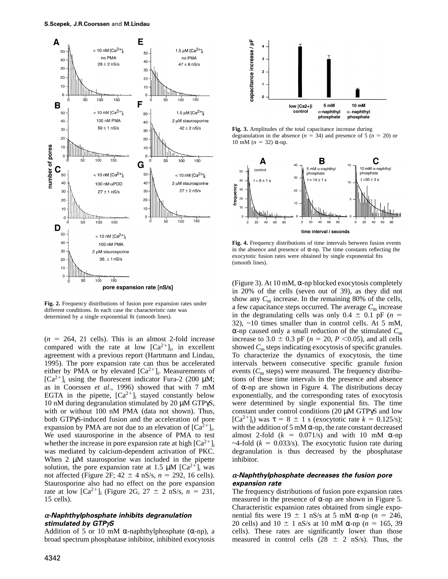

**Fig. 2.** Frequency distributions of fusion pore expansion rates under different conditions. In each case the characteristic rate was determined by a single exponential fit (smooth lines).

 $(n = 264, 21$  cells). This is an almost 2-fold increase compared with the rate at low  $[Ca^{2+}]_i$ , in excellent agreement with a previous report (Hartmann and Lindau, 1995). The pore expansion rate can thus be accelerated either by PMA or by elevated  $[Ca^{2+}]_i$ . Measurements of  $[Ca^{2+}]$ <sub>i</sub> using the fluorescent indicator Fura-2 (200  $\mu$ M; as in Coorssen *et al*., 1996) showed that with 7 mM EGTA in the pipette,  $[Ca^{2+}]$ ; stayed constantly below 10 nM during degranulation stimulated by 20 µM GTPγS, with or without 100 nM PMA (data not shown). Thus, both GTPγS-induced fusion and the acceleration of pore expansion by PMA are not due to an elevation of  $[Ca<sup>2+</sup>]$ <sub>i</sub>. We used staurosporine in the absence of PMA to test whether the increase in pore expansion rate at high  $\lceil Ca^{2+} \rceil$ was mediated by calcium-dependent activation of PKC. When 2 µM staurosporine was included in the pipette solution, the pore expansion rate at 1.5  $\mu$ M [Ca<sup>2+</sup>]<sub>i</sub> was not affected (Figure 2F;  $42 \pm 4$  nS/s,  $n = 292$ , 16 cells). Staurosporine also had no effect on the pore expansion rate at low  $[Ca^{2+}]$ <sub>i</sub> (Figure 2G, 27  $\pm$  2 nS/s, *n* = 231, 15 cells).

#### **<sup>α</sup>-Naphthylphosphate inhibits degranulation stimulated by GTPγS**

Addition of 5 or 10 mM  $\alpha$ -naphthylphosphate ( $\alpha$ -np), a broad spectrum phosphatase inhibitor, inhibited exocytosis



**Fig. 3.** Amplitudes of the total capacitance increase during degranulation in the absence ( $n = 34$ ) and presence of 5 ( $n = 20$ ) or 10 mM ( $n = 32$ ) α-np.



**Fig. 4.** Frequency distributions of time intervals between fusion events in the absence and presence of α-np. The time constants reflecting the exocytotic fusion rates were obtained by single exponential fits (smooth lines).

(Figure 3). At 10 mM,  $\alpha$ -np blocked exocytosis completely in 20% of the cells (seven out of 39), as they did not show any  $C_m$  increase. In the remaining 80% of the cells, a few capacitance steps occurred. The average  $C_m$  increase in the degranulating cells was only  $0.4 \pm 0.1$  pF ( $n =$ 32), ~10 times smaller than in control cells. At 5 mM, α-np caused only a small reduction of the stimulated *C*<sup>m</sup> increase to 3.0  $\pm$  0.3 pF (*n* = 20, *P* < 0.05), and all cells showed  $C_m$  steps indicating exocytosis of specific granules. To characterize the dynamics of exocytosis, the time intervals between consecutive specific granule fusion events ( $C_m$  steps) were measured. The frequency distributions of these time intervals in the presence and absence of α-np are shown in Figure 4. The distributions decay exponentially, and the corresponding rates of exocytosis were determined by single exponential fits. The time constant under control conditions (20 µM GTPγS and low  $[Ca^{2+}]_i$ ) was  $\tau = 8 \pm 1$  s (exocytotic rate  $k = 0.125/s$ ); with the addition of 5 mM  $\alpha$ -np, the rate constant decreased almost 2-fold  $(k = 0.071/s)$  and with 10 mM  $\alpha$ -np  $\sim$ 4-fold ( $k = 0.033$ /s). The exocytotic fusion rate during degranulation is thus decreased by the phosphatase inhibitor.

## **<sup>α</sup>-Naphthylphosphate decreases the fusion pore expansion rate**

The frequency distributions of fusion pore expansion rates measured in the presence of  $\alpha$ -np are shown in Figure 5. Characteristic expansion rates obtained from single exponential fits were  $19 \pm 1$  nS/s at 5 mM  $\alpha$ -np (*n* = 246, 20 cells) and  $10 \pm 1$  nS/s at 10 mM  $\alpha$ -np (*n* = 165, 39 cells). These rates are significantly lower than those measured in control cells  $(28 \pm 2 \text{ nS/s})$ . Thus, the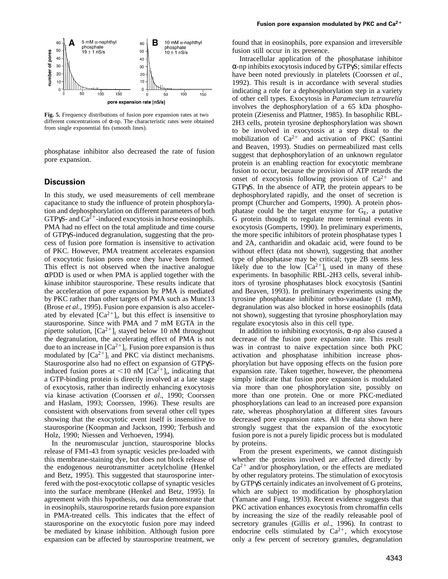

**Fig. 5.** Frequency distributions of fusion pore expansion rates at two different concentrations of α-np. The characteristic rates were obtained from single exponential fits (smooth lines).

phosphatase inhibitor also decreased the rate of fusion pore expansion.

#### **Discussion**

In this study, we used measurements of cell membrane capacitance to study the influence of protein phosphorylation and dephosphorylation on different parameters of both  $GTP\gamma S$ - and  $Ca^{2+}$ -induced exocytosis in horse eosinophils. PMA had no effect on the total amplitude and time course of GTPγS-induced degranulation, suggesting that the process of fusion pore formation is insensitive to activation of PKC. However, PMA treatment accelerates expansion of exocytotic fusion pores once they have been formed. This effect is not observed when the inactive analogue αPDD is used or when PMA is applied together with the kinase inhibitor staurosporine. These results indicate that the acceleration of pore expansion by PMA is mediated by PKC rather than other targets of PMA such as Munc13 (Brose *et al*., 1995). Fusion pore expansion is also accelerated by elevated  $[Ca^{2+}]$ ; but this effect is insensitive to staurosporine. Since with PMA and 7 mM EGTA in the pipette solution,  $[Ca^{2+}]$ <sub>i</sub> stayed below 10 nM throughout the degranulation, the accelerating effect of PMA is not due to an increase in  $[Ca^{2+}]_i$ . Fusion pore expansion is thus modulated by  $[Ca^{2+}]$ <sub>i</sub> and PKC via distinct mechanisms. Staurosporine also had no effect on expansion of GTPγSinduced fusion pores at  $\langle 10 \text{ nM } [Ca^{2+}]_i$ , indicating that a GTP-binding protein is directly involved at a late stage of exocytosis, rather than indirectly enhancing exocytosis via kinase activation (Coorssen *et al*., 1990; Coorssen and Haslam, 1993; Coorssen, 1996). These results are consistent with observations from several other cell types showing that the exocytotic event itself is insensitive to staurosporine (Koopman and Jackson, 1990; Terbush and Holz, 1990; Niessen and Verhoeven, 1994).

In the neuromuscular junction, staurosporine blocks release of FM1-43 from synaptic vesicles pre-loaded with this membrane-staining dye, but does not block release of the endogenous neurotransmitter acetylcholine (Henkel and Betz, 1995). This suggested that staurosporine interfered with the post-exocytotic collapse of synaptic vesicles into the surface membrane (Henkel and Betz, 1995). In agreement with this hypothesis, our data demonstrate that in eosinophils, staurosporine retards fusion pore expansion in PMA-treated cells. This indicates that the effect of staurosporine on the exocytotic fusion pore may indeed be mediated by kinase inhibition. Although fusion pore expansion can be affected by staurosporine treatment, we

found that in eosinophils, pore expansion and irreversible fusion still occur in its presence.

Intracellular application of the phosphatase inhibitor α-np inhibits exocytosis induced by GTPγS; similar effects have been noted previously in platelets (Coorssen *et al*., 1992). This result is in accordance with several studies indicating a role for a dephosphorylation step in a variety of other cell types. Exocytosis in *Paramecium tetraurelia* involves the dephosphorylation of a 65 kDa phosphoprotein (Zieseniss and Plattner, 1985). In basophilic RBL-2H3 cells, protein tyrosine dephosphorylation was shown to be involved in exocytosis at a step distal to the mobilization of  $Ca^{2+}$  and activation of PKC (Santini and Beaven, 1993). Studies on permeabilized mast cells suggest that dephosphorylation of an unknown regulator protein is an enabling reaction for exocytotic membrane fusion to occur, because the provision of ATP retards the onset of exocytosis following provision of  $Ca^{2+}$  and GTPγS. In the absence of ATP, the protein appears to be dephosphorylated rapidly, and the onset of secretion is prompt (Churcher and Gomperts, 1990). A protein phosphatase could be the target enzyme for  $G_E$ , a putative G protein thought to regulate more terminal events in exocytosis (Gomperts, 1990). In preliminary experiments, the more specific inhibitors of protein phosphatase types 1 and 2A, cantharidin and okadaic acid, were found to be without effect (data not shown), suggesting that another type of phosphatase may be critical; type 2B seems less likely due to the low  $[Ca^{2+}]_i$  used in many of these experiments. In basophilic RBL-2H3 cells, several inhibitors of tyrosine phosphatases block exocytosis (Santini and Beaven, 1993). In preliminary experiments using the tyrosine phosphatase inhibitor ortho-vanadate (1 mM), degranulation was also blocked in horse eosinophils (data not shown), suggesting that tyrosine phosphorylation may regulate exocytosis also in this cell type.

In addition to inhibiting exocytosis,  $\alpha$ -np also caused a decrease of the fusion pore expansion rate. This result was in contrast to naive expectation since both PKC activation and phosphatase inhibition increase phosphorylation but have opposing effects on the fusion pore expansion rate. Taken together, however, the phenomena simply indicate that fusion pore expansion is modulated via more than one phosphorylation site, possibly on more than one protein. One or more PKC-mediated phosphorylations can lead to an increased pore expansion rate, whereas phosphorylation at different sites favours decreased pore expansion rates. All the data shown here strongly suggest that the expansion of the exocytotic fusion pore is not a purely lipidic process but is modulated by proteins.

From the present experiments, we cannot distinguish whether the proteins involved are affected directly by  $Ca^{2+}$  and/or phosphorylation, or the effects are mediated by other regulatory proteins. The stimulation of exocytosis by GTPγS certainly indicates an involvement of G proteins, which are subject to modification by phosphorylation (Yamane and Fung, 1993). Recent evidence suggests that PKC activation enhances exocytosis from chromaffin cells by increasing the size of the readily releasable pool of secretory granules (Gillis *et al*., 1996). In contrast to endocrine cells stimulated by  $Ca^{2+}$ , which exocytose only a few percent of secretory granules, degranulation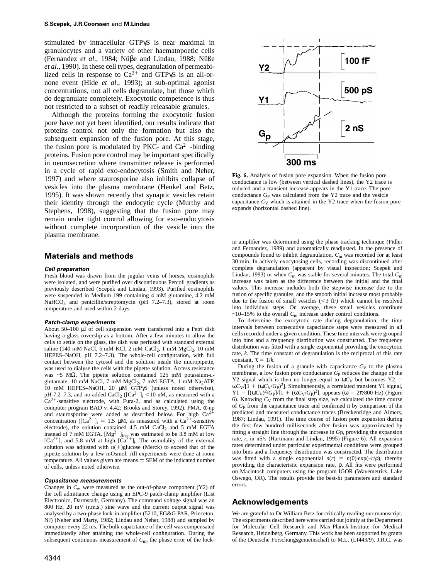stimulated by intracellular GTPγS is near maximal in granulocytes and a variety of other haematopoetic cells (Fernandez et al., 1984; Nüβe and Lindau, 1988; Nüße *et al*., 1990). In these cell types, degranulation of permeabilized cells in response to  $Ca^{2+}$  and GTPγS is an all-ornone event (Hide *et al*., 1993); at sub-optimal agonist concentrations, not all cells degranulate, but those which do degranulate completely. Exocytotic competence is thus not restricted to a subset of readily releasable granules.

Although the proteins forming the exocytotic fusion pore have not yet been identified, our results indicate that proteins control not only the formation but also the subsequent expansion of the fusion pore. At this stage, the fusion pore is modulated by PKC- and  $Ca^{2+}$ -binding proteins. Fusion pore control may be important specifically in neurosecretion where transmitter release is performed in a cycle of rapid exo-endocytosis (Smith and Neher, 1997) and where staurosporine also inhibits collapse of vesicles into the plasma membrane (Henkel and Betz, 1995). It was shown recently that synaptic vesicles retain their identity through the endocytic cycle (Murthy and Stephens, 1998), suggesting that the fusion pore may remain under tight control allowing for exo-endocytosis without complete incorporation of the vesicle into the plasma membrane.

#### **Materials and methods**

#### **Cell preparation**

Fresh blood was drawn from the jugular veins of horses, eosinophils were isolated, and were purified over discontinuous Percoll gradients as previously described (Scepek and Lindau, 1993). Purified eosinophils were suspended in Medium 199 containing 4 mM glutamine, 4.2 mM NaHCO<sub>3</sub> and penicillin/streptomycin (pH  $7.2-7.3$ ), stored at room temperature and used within 2 days.

#### **Patch-clamp experiments**

About 50–100 µl of cell suspension were transferred into a Petri dish having a glass coverslip as a bottom. After a few minutes to allow the cells to settle on the glass, the dish was perfused with standard external saline (140 mM NaCl, 5 mM KCl, 2 mM CaCl<sub>2</sub>, 1 mM  $MgCl_2$ , 10 mM HEPES–NaOH, pH 7.2–7.3). The whole-cell configuration, with full contact between the cytosol and the solution inside the micropipette, was used to dialyse the cells with the pipette solution. Access resistance was ~5 MΩ. The pipette solution contained 125 mM potassium-Lglutamate, 10 mM NaCl, 7 mM MgCl<sub>2</sub>, 7 mM EGTA, 1 mM Na<sub>2</sub>ATP, 10 mM HEPES–NaOH, 20 µM GTPγS (unless noted otherwise), pH 7.2–7.3, and no added CaCl<sub>2</sub> ( $[Ca^{2+}]$ <sub>i</sub> <10 nM, as measured with a  $Ca^{2+}$ -sensitive electrode, with Fura-2, and as calculated using the computer program BAD v. 4.42; Brooks and Storey, 1992). PMA, α-np and staurosporine were added as described below. For high  $Ca<sup>2</sup>$ concentration ( $[Ca^{2+}]_i = 1.5 \mu M$ , as measured with a  $Ca^{2+}$ -sensitive electrode), the solution contained  $4.5 \text{ mM }$  CaCl<sub>2</sub> and  $5 \text{ mM }$  EGTA instead of 7 mM EGTA.  $[Mg^{2+}]_{freq}$  was estimated to be 3.8 mM at low  $[Ca^{2+}]$ <sub>i</sub> and 5.8 mM at high  $[Ca^{2+}]$ <sub>i</sub>. The osmolality of the external solution was adjusted with  $D(+)$ glucose (Merck) to exceed that of the pipette solution by a few mOsmol. All experiments were done at room temperature. All values given are means  $\pm$  SEM of the indicated number of cells, unless noted otherwise.

#### **Capacitance measurements**

Changes in *C*<sup>m</sup> were measured as the out-of-phase component (Y2) of the cell admittance change using an EPC-9 patch-clamp amplifier (List Electronics, Darmstadt, Germany). The command voltage signal was an 800 Hz, 20 mV (r.m.s.) sine wave and the current output signal was analysed by a two-phase lock-in amplifier (5210, EG&G PAR, Princeton, NJ) (Neher and Marty, 1982; Lindau and Neher, 1988) and sampled by computer every 22 ms. The bulk capacitance of the cell was compensated immediatedly after attaining the whole-cell configuration. During the subsequent continuous measurement of  $C<sub>m</sub>$ , the phase error of the lock-



**Fig. 6.** Analysis of fusion pore expansion. When the fusion pore conductance is low (between vertical dashed lines), the Y2 trace is reduced and a transient increase appears in the Y1 trace. The pore conductance  $G_P$  was calculated from the Y2 trace and the vesicle capacitance  $C_V$  which is attained in the Y2 trace when the fusion pore expands (horizontal dashed line).

in amplifier was determined using the phase tracking technique (Fidler and Fernandez, 1989) and automatically readjusted. In the presence of compounds found to inhibit degranulation,  $C_{\rm m}$  was recorded for at least 30 min. In actively exocytosing cells, recording was discontinued after complete degranulation (apparent by visual inspection; Scepek and Lindau, 1993) or when  $C_m$  was stable for several minutes. The total  $C_m$ increase was taken as the difference between the initial and the final values. This increase includes both the stepwise increase due to the fusion of specific granules, and the smooth initial increase most probably due to the fusion of small vesicles  $( $3$  fF)$  which cannot be resolved into individual steps. On average, these small vesicles contribute  $\sim$ 10–15% to the overall  $C_m$  increase under control conditions.

To determine the exocytotic rate during degranulation, the time intervals between consecutive capacitance steps were measured in all cells recorded under a given condition. These time intervals were grouped into bins and a frequency distribution was constructed. The frequency distribution was fitted with a single exponential providing the exocytotic rate, *k*. The time constant of degranulation is the reciprocal of this rate constant,  $\tau = 1/k$ .

During the fusion of a granule with capacitance  $C_V$  to the plasma membrane, a low fusion pore conductance  $G<sub>P</sub>$  reduces the change of the Y2 signal which is then no longer equal to  $\omega C_V$  but becomes Y2 =  $\omega C_V/[1 + (\omega C_V/G_P)^2]$ . Simultaneously, a correlated transient Y1 signal, Y1 = [(ω*C*<sub>V</sub>)<sup>2</sup>/*G*<sub>P</sub>]/[1 + (ω*C*<sub>V</sub>/*G*<sub>P</sub>)<sup>2</sup>], appears (ω = 2π·800 Hz) (Figure 6). Knowing  $C_V$  from the final step size, we calculated the time course of *G*<sup>P</sup> from the capacitance trace and confirmed it by comparison of the predicted and measured conductance traces (Breckenridge and Almers, 1987; Lindau, 1991). The time course of fusion pore expansion during the first few hundred milliseconds after fusion was approximated by fitting a straight line through the increase in *G*p, providing the expansion rate, *r*, in nS/s (Hartmann and Lindau, 1995) (Figure 6). All expansion rates determined under particular experimental conditions were grouped into bins and a frequency distribution was constructed. The distribution was fitted with a single exponential  $n(r) = n(0) \cdot \exp(-r/\rho)$ , thereby providing the characteristic expansion rate, ρ. All fits were performed on Macintosh computers using the program IGOR (Wavemetrics, Lake Oswego, OR). The results provide the best-fit parameters and standard errors.

## **Acknowledgements**

We are grateful to Dr William Betz for critically reading our manuscript. The experiments described here were carried out jointly at the Department for Molecular Cell Research and Max-Planck-Institute for Medical Research, Heidelberg, Germany. This work has been supported by grants of the Deutsche Forschungsgemeinschaft to M.L. (LI443/9). J.R.C. was